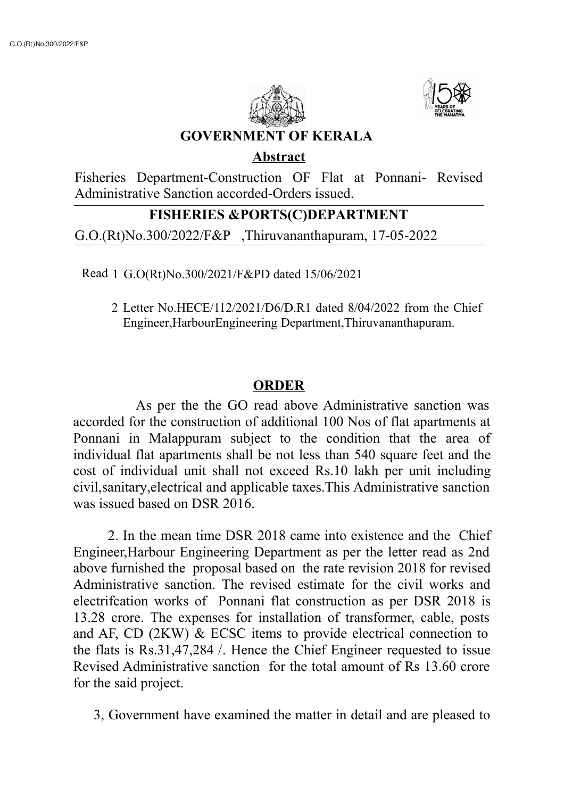



**GOVERNMENT OF KERALA**

## **Abstract**

Fisheries Department-Construction OF Flat at Ponnani- Revised Administrative Sanction accorded-Orders issued.

## **FISHERIES &PORTS(C)DEPARTMENT**

G.O.(Rt)No.300/2022/F&P ,Thiruvananthapuram, 17-05-2022

Read 1 G.O(Rt)No.300/2021/F&PD dated 15/06/2021

2 Letter No.HECE/112/2021/D6/D.R1 dated 8/04/2022 from the Chief Engineer,HarbourEngineering Department,Thiruvananthapuram.

## **ORDER**

As per the the GO read above Administrative sanction was accorded for the construction of additional 100 Nos of flat apartments at Ponnani in Malappuram subject to the condition that the area of individual flat apartments shall be not less than 540 square feet and the cost of individual unit shall not exceed Rs.10 lakh per unit including civil,sanitary,electrical and applicable taxes.This Administrative sanction was issued based on DSR 2016.

2. In the mean time DSR 2018 came into existence and the Chief Engineer,Harbour Engineering Department as per the letter read as 2nd above furnished the proposal based on the rate revision 2018 for revised Administrative sanction. The revised estimate for the civil works and electrifcation works of Ponnani flat construction as per DSR 2018 is 13.28 crore. The expenses for installation of transformer, cable, posts and AF, CD (2KW) & ECSC items to provide electrical connection to the flats is Rs.31,47,284 /. Hence the Chief Engineer requested to issue Revised Administrative sanction for the total amount of Rs 13.60 crore for the said project.

3, Government have examined the matter in detail and are pleased to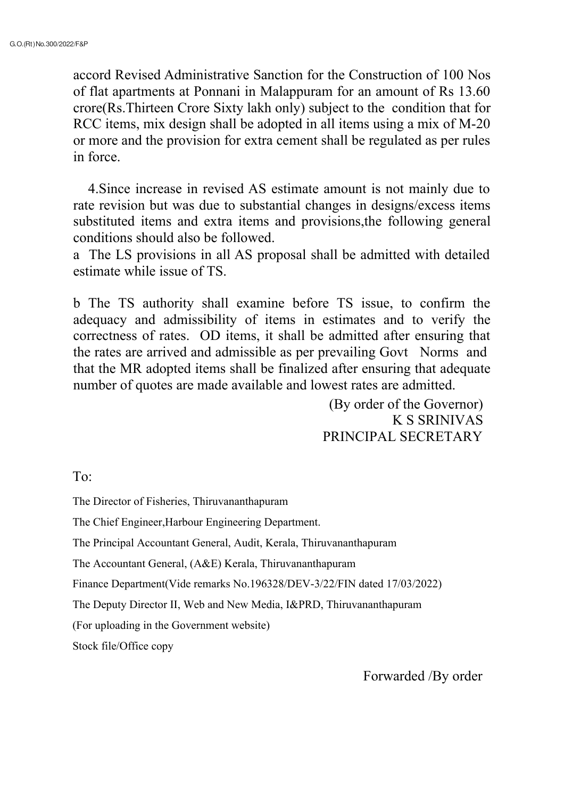accord Revised Administrative Sanction for the Construction of 100 Nos of flat apartments at Ponnani in Malappuram for an amount of Rs 13.60 crore(Rs.Thirteen Crore Sixty lakh only) subject to the condition that for RCC items, mix design shall be adopted in all items using a mix of M-20 or more and the provision for extra cement shall be regulated as per rules in force.

4.Since increase in revised AS estimate amount is not mainly due to rate revision but was due to substantial changes in designs/excess items substituted items and extra items and provisions,the following general conditions should also be followed.

a The LS provisions in all AS proposal shall be admitted with detailed estimate while issue of TS.

b The TS authority shall examine before TS issue, to confirm the adequacy and admissibility of items in estimates and to verify the correctness of rates. OD items, it shall be admitted after ensuring that the rates are arrived and admissible as per prevailing Govt Norms and that the MR adopted items shall be finalized after ensuring that adequate number of quotes are made available and lowest rates are admitted.

> (By order of the Governor) K S SRINIVAS PRINCIPAL SECRETARY

To:

The Director of Fisheries, Thiruvananthapuram

The Chief Engineer,Harbour Engineering Department.

The Principal Accountant General, Audit, Kerala, Thiruvananthapuram

The Accountant General, (A&E) Kerala, Thiruvananthapuram

Finance Department(Vide remarks No.196328/DEV-3/22/FIN dated 17/03/2022)

The Deputy Director II, Web and New Media, I&PRD, Thiruvananthapuram

(For uploading in the Government website)

Stock file/Office copy

Forwarded /By order